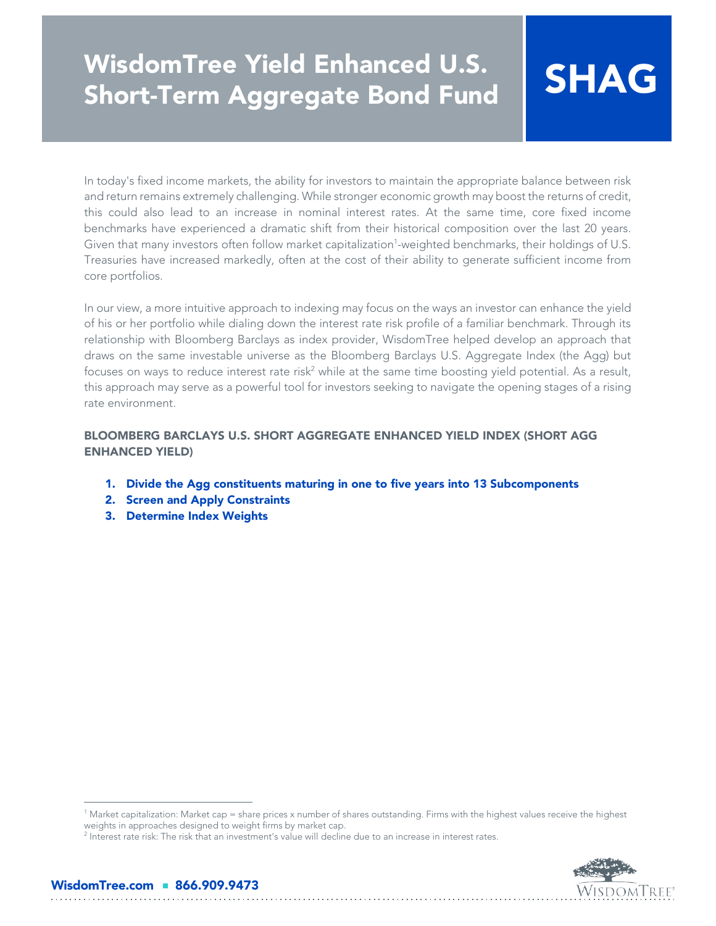# *WisdomTree Yield Enhanced U.S. Short-Term Aggregate Bond Fund SHAG*

In today's fixed income markets, the ability for investors to maintain the appropriate balance between risk and return remains extremely challenging. While stronger economic growth may boost the returns of credit, this could also lead to an increase in nominal interest rates. At the same time, core fixed income benchmarks have experienced a dramatic shift from their historical composition over the last 20 years. Given that many investors often follow market capitalization<sup>1</sup>-weighted benchmarks, their holdings of U.S. Treasuries have increased markedly, often at the cost of their ability to generate sufficient income from core portfolios.

In our view, a more intuitive approach to indexing may focus on the ways an investor can enhance the yield of his or her portfolio while dialing down the interest rate risk profile of a familiar benchmark. Through its relationship with Bloomberg Barclays as index provider, WisdomTree helped develop an approach that draws on the same investable universe as the Bloomberg Barclays U.S. Aggregate Index (the Agg) but focuses on ways to reduce interest rate risk<sup>2</sup> while at the same time boosting yield potential. As a result, this approach may serve as a powerful tool for investors seeking to navigate the opening stages of a rising rate environment.

*BLOOMBERG BARCLAYS U.S. SHORT AGGREGATE ENHANCED YIELD INDEX (SHORT AGG ENHANCED YIELD)*

- *1. Divide the Agg constituents maturing in one to five years into 13 Subcomponents*
- *2. Screen and Apply Constraints*
- *3. Determine Index Weights*



<sup>1</sup> Market capitalization: Market cap = share prices x number of shares outstanding. Firms with the highest values receive the highest weights in approaches designed to weight firms by market cap.

 $^2$  Interest rate risk: The risk that an investment's value will decline due to an increase in interest rates.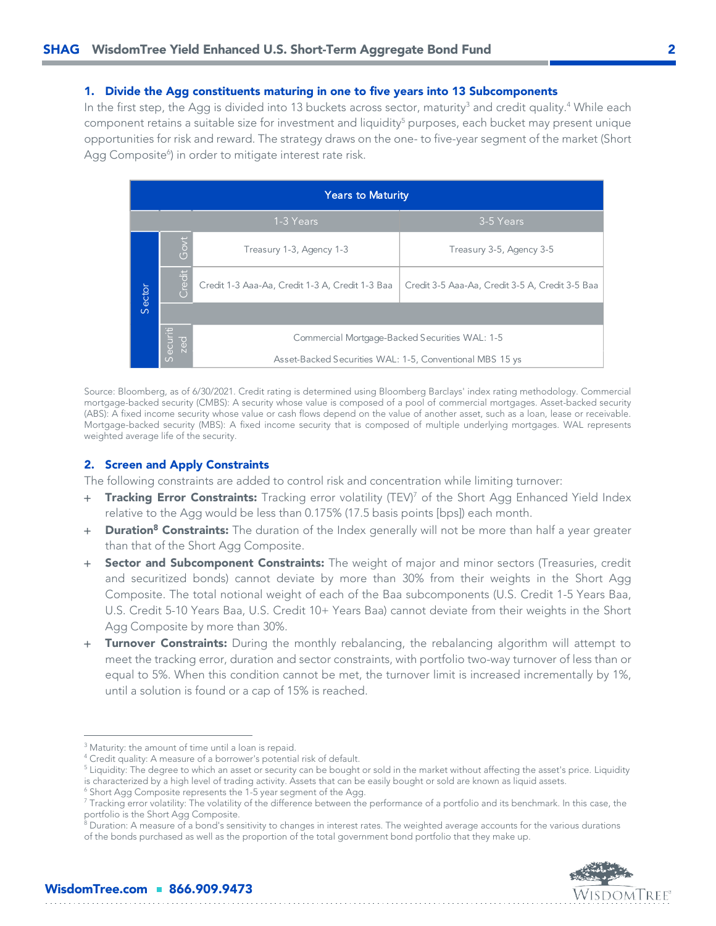### *1. Divide the Agg constituents maturing in one to five years into 13 Subcomponents*

In the first step, the Agg is divided into 13 buckets across sector, maturity<sup>3</sup> and credit quality.<sup>4</sup> While each component retains a suitable size for investment and liquidity<sup>5</sup> purposes, each bucket may present unique opportunities for risk and reward. The strategy draws on the one- to five-year segment of the market (Short Agg Composite<sup>6</sup>) in order to mitigate interest rate risk.

| <b>Years to Maturity</b> |                 |                                                          |                                                 |  |
|--------------------------|-----------------|----------------------------------------------------------|-------------------------------------------------|--|
|                          |                 | 1-3 Years                                                | 3-5 Years                                       |  |
|                          | Govt            | Treasury 1-3, Agency 1-3                                 | Treasury 3-5, Agency 3-5                        |  |
| Sector                   | Credit          | Credit 1-3 Aaa-Aa, Credit 1-3 A, Credit 1-3 Baa          | Credit 3-5 Aaa-Aa, Credit 3-5 A, Credit 3-5 Baa |  |
|                          |                 |                                                          |                                                 |  |
|                          | Securiti<br>zed | Commercial Mortgage-Backed Securities WAL: 1-5           |                                                 |  |
|                          |                 | Asset-Backed Securities WAL: 1-5, Conventional MBS 15 ys |                                                 |  |

Source: Bloomberg, as of 6/30/2021. Credit rating is determined using Bloomberg Barclays' index rating methodology. Commercial mortgage-backed security (CMBS): A security whose value is composed of a pool of commercial mortgages. Asset-backed security (ABS): A fixed income security whose value or cash flows depend on the value of another asset, such as a loan, lease or receivable. Mortgage-backed security (MBS): A fixed income security that is composed of multiple underlying mortgages. WAL represents weighted average life of the security.

#### *2. Screen and Apply Constraints*

The following constraints are added to control risk and concentration while limiting turnover:

- + *Tracking Error Constraints:* Tracking error volatility (TEV)<sup>7</sup> of the Short Agg Enhanced Yield Index relative to the Agg would be less than 0.175% (17.5 basis points [bps]) each month.
- + *Duration<sup>8</sup> Constraints:* The duration of the Index generally will not be more than half a year greater than that of the Short Agg Composite.
- + *Sector and Subcomponent Constraints:* The weight of major and minor sectors (Treasuries, credit and securitized bonds) cannot deviate by more than 30% from their weights in the Short Agg Composite. The total notional weight of each of the Baa subcomponents (U.S. Credit 1-5 Years Baa, U.S. Credit 5-10 Years Baa, U.S. Credit 10+ Years Baa) cannot deviate from their weights in the Short Agg Composite by more than 30%.
- + *Turnover Constraints:* During the monthly rebalancing, the rebalancing algorithm will attempt to meet the tracking error, duration and sector constraints, with portfolio two-way turnover of less than or equal to 5%. When this condition cannot be met, the turnover limit is increased incrementally by 1%, until a solution is found or a cap of 15% is reached.

. . . . . . . . . . . . . . . . .

 $^8$  Duration: A measure of a bond's sensitivity to changes in interest rates. The weighted average accounts for the various durations of the bonds purchased as well as the proportion of the total government bond portfolio that they make up.



<sup>&</sup>lt;sup>3</sup> Maturity: the amount of time until a loan is repaid.

<sup>4</sup> Credit quality: A measure of a borrower's potential risk of default.

 $^5$  Liquidity: The degree to which an asset or security can be bought or sold in the market without affecting the asset's price. Liquidity is characterized by a high level of trading activity. Assets that can be easily bought or sold are known as liquid assets.

<sup>6</sup> Short Agg Composite represents the 1-5 year segment of the Agg.

<sup>&</sup>lt;sup>7</sup> Tracking error volatility: The volatility of the difference between the performance of a portfolio and its benchmark. In this case, the portfolio is the Short Agg Composite.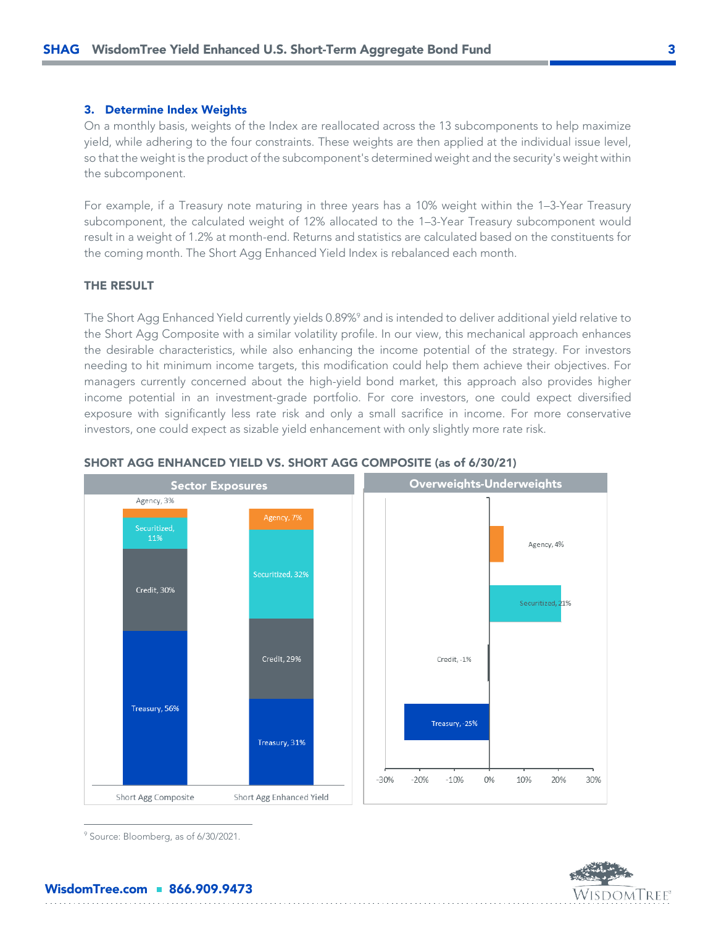#### *3. Determine Index Weights*

On a monthly basis, weights of the Index are reallocated across the 13 subcomponents to help maximize yield, while adhering to the four constraints. These weights are then applied at the individual issue level, so that the weight is the product of the subcomponent's determined weight and the security's weight within the subcomponent.

For example, if a Treasury note maturing in three years has a 10% weight within the 1–3-Year Treasury subcomponent, the calculated weight of 12% allocated to the 1–3-Year Treasury subcomponent would result in a weight of 1.2% at month-end. Returns and statistics are calculated based on the constituents for the coming month. The Short Agg Enhanced Yield Index is rebalanced each month.

### *THE RESULT*

The Short Agg Enhanced Yield currently yields 0.89%<sup>9</sup> and is intended to deliver additional yield relative to the Short Agg Composite with a similar volatility profile. In our view, this mechanical approach enhances the desirable characteristics, while also enhancing the income potential of the strategy. For investors needing to hit minimum income targets, this modification could help them achieve their objectives. For managers currently concerned about the high-yield bond market, this approach also provides higher income potential in an investment-grade portfolio. For core investors, one could expect diversified exposure with significantly less rate risk and only a small sacrifice in income. For more conservative investors, one could expect as sizable yield enhancement with only slightly more rate risk.



#### *SHORT AGG ENHANCED YIELD VS. SHORT AGG COMPOSITE (as of 6/30/21)*

<sup>9</sup> Source: Bloomberg, as of 6/30/2021.



# *WisdomTree.com 866.909.9473*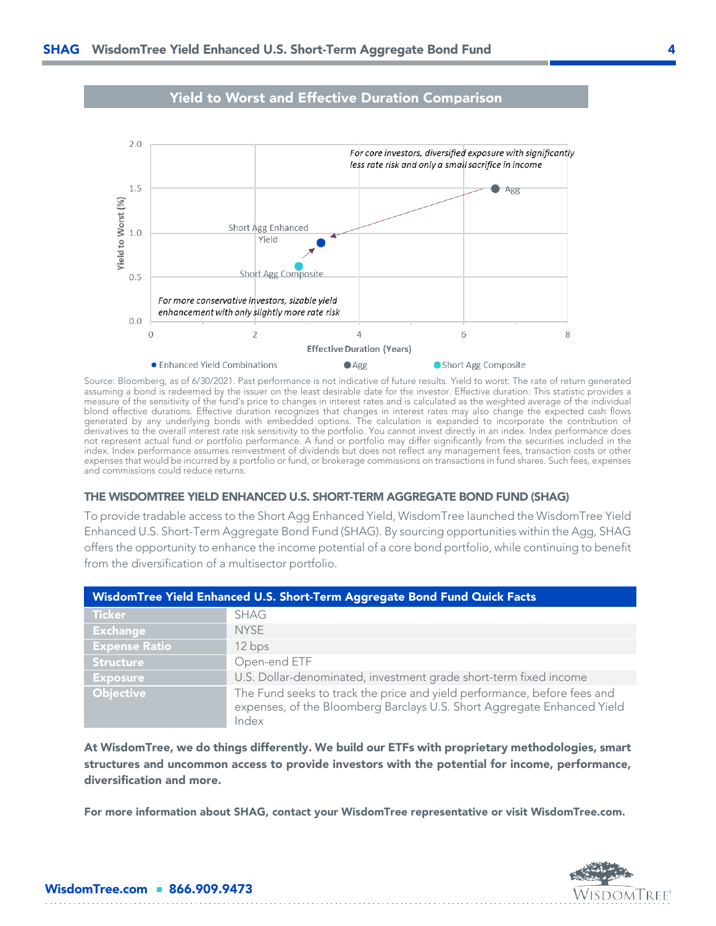

# *Yield to Worst and Effective Duration Comparison*

Source: Bloomberg, as of 6/30/2021. Past performance is not indicative of future results. Yield to worst: The rate of return generated assuming a bond is redeemed by the issuer on the least desirable date for the investor. Effective duration: This statistic provides a measure of the sensitivity of the fund's price to changes in interest rates and is calculated as the weighted average of the individual blond effective durations. Effective duration recognizes that changes in interest rates may also change the expected cash flows generated by any underlying bonds with embedded options. The calculation is expanded to incorporate the contribution of derivatives to the overall interest rate risk sensitivity to the portfolio. You cannot invest directly in an index. Index performance does not represent actual fund or portfolio performance. A fund or portfolio may differ significantly from the securities included in the index. Index performance assumes reinvestment of dividends but does not reflect any management fees, transaction costs or other expenses that would be incurred by a portfolio or fund, or brokerage commissions on transactions in fund shares. Such fees, expenses and commissions could reduce returns.

#### *THE WISDOMTREE YIELD ENHANCED U.S. SHORT-TERM AGGREGATE BOND FUND (SHAG)*

To provide tradable access to the Short Agg Enhanced Yield, WisdomTree launched the WisdomTree Yield Enhanced U.S. Short-Term Aggregate Bond Fund (SHAG). By sourcing opportunities within the Agg, SHAG offers the opportunity to enhance the income potential of a core bond portfolio, while continuing to benefit from the diversification of a multisector portfolio.

| WisdomTree Yield Enhanced U.S. Short-Term Aggregate Bond Fund Quick Facts |                                                                                                                                                              |  |  |  |
|---------------------------------------------------------------------------|--------------------------------------------------------------------------------------------------------------------------------------------------------------|--|--|--|
| <b>Ticker</b>                                                             | <b>SHAG</b>                                                                                                                                                  |  |  |  |
| <b>Exchange</b>                                                           | <b>NYSE</b>                                                                                                                                                  |  |  |  |
| <b>Expense Ratio</b>                                                      | 12 bps                                                                                                                                                       |  |  |  |
| <b>Structure</b>                                                          | Open-end ETF                                                                                                                                                 |  |  |  |
| <b>Exposure</b>                                                           | U.S. Dollar-denominated, investment grade short-term fixed income                                                                                            |  |  |  |
| Objective                                                                 | The Fund seeks to track the price and yield performance, before fees and<br>expenses, of the Bloomberg Barclays U.S. Short Aggregate Enhanced Yield<br>Index |  |  |  |

*At WisdomTree, we do things differently. We build our ETFs with proprietary methodologies, smart structures and uncommon access to provide investors with the potential for income, performance, diversification and more.*

*For more information about SHAG, contact your WisdomTree representative or visit WisdomTree.com.*